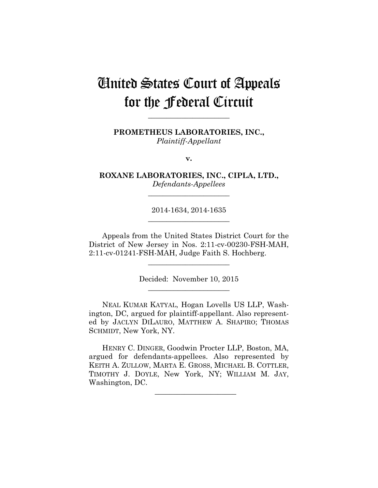# United States Court of Appeals for the Federal Circuit

**PROMETHEUS LABORATORIES, INC.,** *Plaintiff-Appellant*

**\_\_\_\_\_\_\_\_\_\_\_\_\_\_\_\_\_\_\_\_\_\_** 

**v.**

**ROXANE LABORATORIES, INC., CIPLA, LTD.,** *Defendants-Appellees*

**\_\_\_\_\_\_\_\_\_\_\_\_\_\_\_\_\_\_\_\_\_\_** 

2014-1634, 2014-1635 **\_\_\_\_\_\_\_\_\_\_\_\_\_\_\_\_\_\_\_\_\_\_** 

Appeals from the United States District Court for the District of New Jersey in Nos. 2:11-cv-00230-FSH-MAH, 2:11-cv-01241-FSH-MAH, Judge Faith S. Hochberg.

> Decided: November 10, 2015 **\_\_\_\_\_\_\_\_\_\_\_\_\_\_\_\_\_\_\_\_\_\_**

**\_\_\_\_\_\_\_\_\_\_\_\_\_\_\_\_\_\_\_\_\_\_** 

NEAL KUMAR KATYAL, Hogan Lovells US LLP, Washington, DC, argued for plaintiff-appellant. Also represented by JACLYN DILAURO, MATTHEW A. SHAPIRO; THOMAS SCHMIDT, New York, NY.

HENRY C. DINGER, Goodwin Procter LLP, Boston, MA, argued for defendants-appellees. Also represented by KEITH A. ZULLOW, MARTA E. GROSS, MICHAEL B. COTTLER, TIMOTHY J. DOYLE, New York, NY; WILLIAM M. JAY, Washington, DC.

\_\_\_\_\_\_\_\_\_\_\_\_\_\_\_\_\_\_\_\_\_\_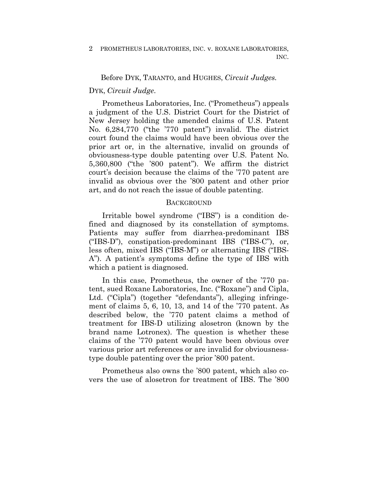## Before DYK, TARANTO, and HUGHES, *Circuit Judges.*

### DYK, *Circuit Judge*.

Prometheus Laboratories, Inc. ("Prometheus") appeals a judgment of the U.S. District Court for the District of New Jersey holding the amended claims of U.S. Patent No. 6,284,770 ("the '770 patent") invalid. The district court found the claims would have been obvious over the prior art or, in the alternative, invalid on grounds of obviousness-type double patenting over U.S. Patent No. 5,360,800 ("the '800 patent"). We affirm the district court's decision because the claims of the '770 patent are invalid as obvious over the '800 patent and other prior art, and do not reach the issue of double patenting.

### **BACKGROUND**

Irritable bowel syndrome ("IBS") is a condition defined and diagnosed by its constellation of symptoms. Patients may suffer from diarrhea-predominant IBS ("IBS-D"), constipation-predominant IBS ("IBS-C"), or, less often, mixed IBS ("IBS-M") or alternating IBS ("IBS-A"). A patient's symptoms define the type of IBS with which a patient is diagnosed.

In this case, Prometheus, the owner of the '770 patent, sued Roxane Laboratories, Inc. ("Roxane") and Cipla, Ltd. ("Cipla") (together "defendants"), alleging infringement of claims 5, 6, 10, 13, and 14 of the '770 patent. As described below, the '770 patent claims a method of treatment for IBS-D utilizing alosetron (known by the brand name Lotronex). The question is whether these claims of the '770 patent would have been obvious over various prior art references or are invalid for obviousnesstype double patenting over the prior '800 patent.

Prometheus also owns the '800 patent, which also covers the use of alosetron for treatment of IBS. The '800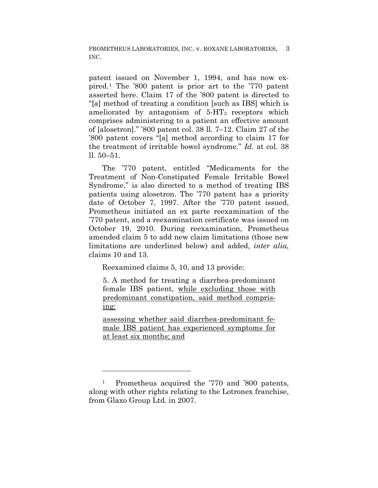patent issued on November 1, 1994, and has now expired.1 The '800 patent is prior art to the '770 patent asserted here. Claim 17 of the '800 patent is directed to "[a] method of treating a condition [such as IBS] which is ameliorated by antagonism of  $5-\text{HT}_3$  receptors which comprises administering to a patient an effective amount of [alosetron]." '800 patent col. 38 ll. 7–12. Claim 27 of the '800 patent covers "[a] method according to claim 17 for the treatment of irritable bowel syndrome." *Id.* at col. 38 ll. 50–51.

The '770 patent, entitled "Medicaments for the Treatment of Non-Constipated Female Irritable Bowel Syndrome," is also directed to a method of treating IBS patients using alosetron. The '770 patent has a priority date of October 7, 1997. After the '770 patent issued, Prometheus initiated an ex parte reexamination of the '770 patent, and a reexamination certificate was issued on October 19, 2010. During reexamination, Prometheus amended claim 5 to add new claim limitations (those new limitations are underlined below) and added, *inter alia*, claims 10 and 13.

Reexamined claims 5, 10, and 13 provide:

5. A method for treating a diarrhea-predominant female IBS patient, while excluding those with predominant constipation, said method comprising:

assessing whether said diarrhea-predominant female IBS patient has experienced symptoms for at least six months; and

1

<sup>1</sup> Prometheus acquired the '770 and '800 patents, along with other rights relating to the Lotronex franchise, from Glaxo Group Ltd. in 2007.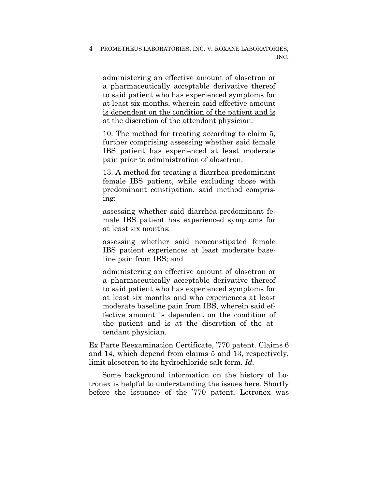administering an effective amount of alosetron or a pharmaceutically acceptable derivative thereof to said patient who has experienced symptoms for at least six months, wherein said effective amount is dependent on the condition of the patient and is at the discretion of the attendant physician.

10. The method for treating according to claim 5, further comprising assessing whether said female IBS patient has experienced at least moderate pain prior to administration of alosetron.

13. A method for treating a diarrhea-predominant female IBS patient, while excluding those with predominant constipation, said method comprising:

assessing whether said diarrhea-predominant female IBS patient has experienced symptoms for at least six months;

assessing whether said nonconstipated female IBS patient experiences at least moderate baseline pain from IBS; and

administering an effective amount of alosetron or a pharmaceutically acceptable derivative thereof to said patient who has experienced symptoms for at least six months and who experiences at least moderate baseline pain from IBS, wherein said effective amount is dependent on the condition of the patient and is at the discretion of the attendant physician.

Ex Parte Reexamination Certificate, '770 patent. Claims 6 and 14, which depend from claims 5 and 13, respectively, limit alosetron to its hydrochloride salt form. *Id.*

Some background information on the history of Lotronex is helpful to understanding the issues here. Shortly before the issuance of the '770 patent, Lotronex was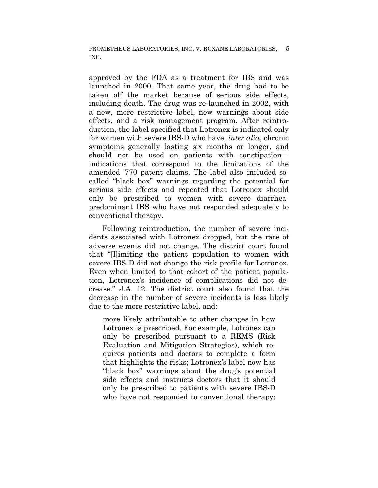approved by the FDA as a treatment for IBS and was launched in 2000. That same year, the drug had to be taken off the market because of serious side effects, including death. The drug was re-launched in 2002, with a new, more restrictive label, new warnings about side effects, and a risk management program. After reintroduction, the label specified that Lotronex is indicated only for women with severe IBS-D who have, *inter alia*, chronic symptoms generally lasting six months or longer, and should not be used on patients with constipation indications that correspond to the limitations of the amended '770 patent claims. The label also included socalled "black box" warnings regarding the potential for serious side effects and repeated that Lotronex should only be prescribed to women with severe diarrheapredominant IBS who have not responded adequately to conventional therapy.

Following reintroduction, the number of severe incidents associated with Lotronex dropped, but the rate of adverse events did not change. The district court found that "[l]imiting the patient population to women with severe IBS-D did not change the risk profile for Lotronex. Even when limited to that cohort of the patient population, Lotronex's incidence of complications did not decrease." J.A. 12. The district court also found that the decrease in the number of severe incidents is less likely due to the more restrictive label, and:

more likely attributable to other changes in how Lotronex is prescribed. For example, Lotronex can only be prescribed pursuant to a REMS (Risk Evaluation and Mitigation Strategies), which requires patients and doctors to complete a form that highlights the risks; Lotronex's label now has "black box" warnings about the drug's potential side effects and instructs doctors that it should only be prescribed to patients with severe IBS-D who have not responded to conventional therapy;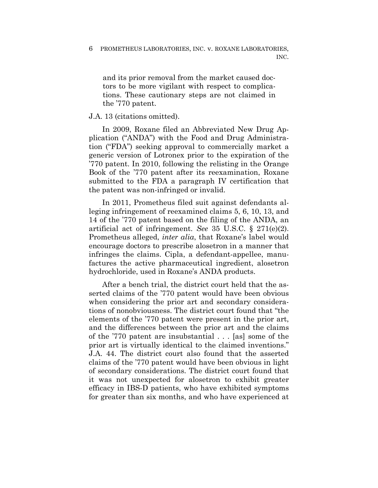and its prior removal from the market caused doctors to be more vigilant with respect to complications. These cautionary steps are not claimed in the '770 patent.

# J.A. 13 (citations omitted).

In 2009, Roxane filed an Abbreviated New Drug Application ("ANDA") with the Food and Drug Administration ("FDA") seeking approval to commercially market a generic version of Lotronex prior to the expiration of the '770 patent. In 2010, following the relisting in the Orange Book of the '770 patent after its reexamination, Roxane submitted to the FDA a paragraph IV certification that the patent was non-infringed or invalid.

In 2011, Prometheus filed suit against defendants alleging infringement of reexamined claims 5, 6, 10, 13, and 14 of the '770 patent based on the filing of the ANDA, an artificial act of infringement. *See* 35 U.S.C. § 271(e)(2). Prometheus alleged, *inter alia*, that Roxane's label would encourage doctors to prescribe alosetron in a manner that infringes the claims. Cipla, a defendant-appellee, manufactures the active pharmaceutical ingredient, alosetron hydrochloride, used in Roxane's ANDA products.

After a bench trial, the district court held that the asserted claims of the '770 patent would have been obvious when considering the prior art and secondary considerations of nonobviousness. The district court found that "the elements of the '770 patent were present in the prior art, and the differences between the prior art and the claims of the '770 patent are insubstantial . . . [as] some of the prior art is virtually identical to the claimed inventions." J.A. 44. The district court also found that the asserted claims of the '770 patent would have been obvious in light of secondary considerations. The district court found that it was not unexpected for alosetron to exhibit greater efficacy in IBS-D patients, who have exhibited symptoms for greater than six months, and who have experienced at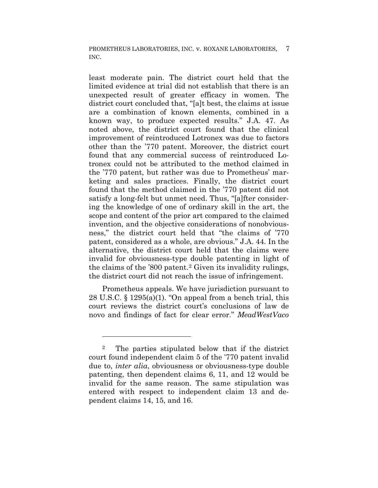least moderate pain. The district court held that the limited evidence at trial did not establish that there is an unexpected result of greater efficacy in women. The district court concluded that, "[a]t best, the claims at issue are a combination of known elements, combined in a known way, to produce expected results." J.A. 47. As noted above, the district court found that the clinical improvement of reintroduced Lotronex was due to factors other than the '770 patent. Moreover, the district court found that any commercial success of reintroduced Lotronex could not be attributed to the method claimed in the '770 patent, but rather was due to Prometheus' marketing and sales practices. Finally, the district court found that the method claimed in the '770 patent did not satisfy a long-felt but unmet need. Thus, "[a]fter considering the knowledge of one of ordinary skill in the art, the scope and content of the prior art compared to the claimed invention, and the objective considerations of nonobviousness," the district court held that "the claims of '770 patent, considered as a whole, are obvious." J.A. 44. In the alternative, the district court held that the claims were invalid for obviousness-type double patenting in light of the claims of the '800 patent.2 Given its invalidity rulings, the district court did not reach the issue of infringement.

Prometheus appeals. We have jurisdiction pursuant to 28 U.S.C. § 1295(a)(1). "On appeal from a bench trial, this court reviews the district court's conclusions of law de novo and findings of fact for clear error." *MeadWestVaco* 

<u>.</u>

<sup>2</sup> The parties stipulated below that if the district court found independent claim 5 of the '770 patent invalid due to, *inter alia*, obviousness or obviousness-type double patenting, then dependent claims 6, 11, and 12 would be invalid for the same reason. The same stipulation was entered with respect to independent claim 13 and dependent claims 14, 15, and 16.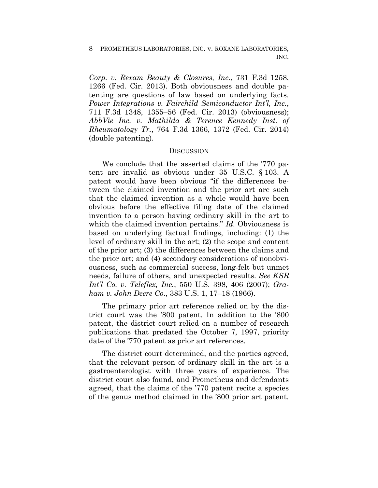*Corp. v. Rexam Beauty & Closures, Inc.*, 731 F.3d 1258, 1266 (Fed. Cir. 2013). Both obviousness and double patenting are questions of law based on underlying facts. *Power Integrations v. Fairchild Semiconductor Int'l, Inc.*, 711 F.3d 1348, 1355–56 (Fed. Cir. 2013) (obviousness); *AbbVie Inc. v. Mathilda & Terence Kennedy Inst. of Rheumatology Tr.*, 764 F.3d 1366, 1372 (Fed. Cir. 2014) (double patenting).

## **DISCUSSION**

We conclude that the asserted claims of the '770 patent are invalid as obvious under 35 U.S.C. § 103. A patent would have been obvious "if the differences between the claimed invention and the prior art are such that the claimed invention as a whole would have been obvious before the effective filing date of the claimed invention to a person having ordinary skill in the art to which the claimed invention pertains." *Id.* Obviousness is based on underlying factual findings, including: (1) the level of ordinary skill in the art; (2) the scope and content of the prior art; (3) the differences between the claims and the prior art; and (4) secondary considerations of nonobviousness, such as commercial success, long-felt but unmet needs, failure of others, and unexpected results. *See KSR Int'l Co. v. Teleflex, Inc.*, 550 U.S. 398, 406 (2007); *Graham v. John Deere Co.*, 383 U.S. 1, 17–18 (1966).

The primary prior art reference relied on by the district court was the '800 patent. In addition to the '800 patent, the district court relied on a number of research publications that predated the October 7, 1997, priority date of the '770 patent as prior art references.

The district court determined, and the parties agreed, that the relevant person of ordinary skill in the art is a gastroenterologist with three years of experience. The district court also found, and Prometheus and defendants agreed, that the claims of the '770 patent recite a species of the genus method claimed in the '800 prior art patent.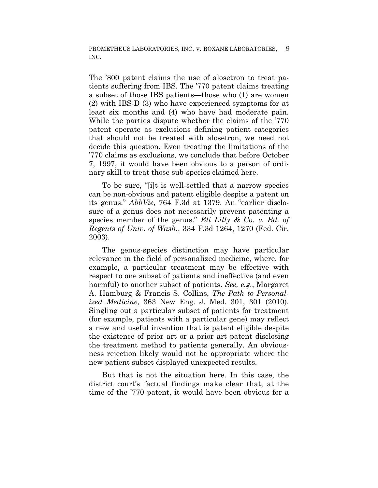The '800 patent claims the use of alosetron to treat patients suffering from IBS. The '770 patent claims treating a subset of those IBS patients—those who (1) are women (2) with IBS-D (3) who have experienced symptoms for at least six months and (4) who have had moderate pain. While the parties dispute whether the claims of the '770 patent operate as exclusions defining patient categories that should not be treated with alosetron, we need not decide this question. Even treating the limitations of the '770 claims as exclusions, we conclude that before October 7, 1997, it would have been obvious to a person of ordinary skill to treat those sub-species claimed here.

To be sure, "[i]t is well-settled that a narrow species can be non-obvious and patent eligible despite a patent on its genus." *AbbVie*, 764 F.3d at 1379. An "earlier disclosure of a genus does not necessarily prevent patenting a species member of the genus." *Eli Lilly & Co. v. Bd. of Regents of Univ. of Wash.*, 334 F.3d 1264, 1270 (Fed. Cir. 2003).

The genus-species distinction may have particular relevance in the field of personalized medicine, where, for example, a particular treatment may be effective with respect to one subset of patients and ineffective (and even harmful) to another subset of patients. *See, e.g.*, Margaret A. Hamburg & Francis S. Collins, *The Path to Personalized Medicine*, 363 New Eng. J. Med. 301, 301 (2010). Singling out a particular subset of patients for treatment (for example, patients with a particular gene) may reflect a new and useful invention that is patent eligible despite the existence of prior art or a prior art patent disclosing the treatment method to patients generally. An obviousness rejection likely would not be appropriate where the new patient subset displayed unexpected results.

But that is not the situation here. In this case, the district court's factual findings make clear that, at the time of the '770 patent, it would have been obvious for a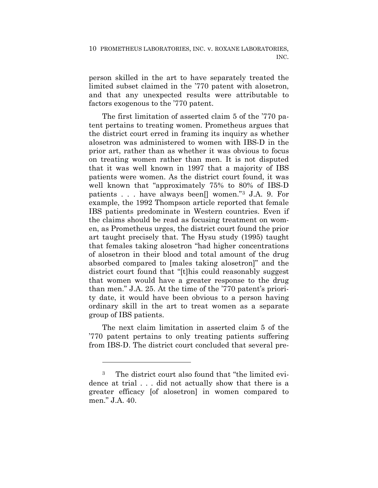person skilled in the art to have separately treated the limited subset claimed in the '770 patent with alosetron, and that any unexpected results were attributable to factors exogenous to the '770 patent.

The first limitation of asserted claim 5 of the '770 patent pertains to treating women. Prometheus argues that the district court erred in framing its inquiry as whether alosetron was administered to women with IBS-D in the prior art, rather than as whether it was obvious to focus on treating women rather than men. It is not disputed that it was well known in 1997 that a majority of IBS patients were women. As the district court found, it was well known that "approximately 75% to 80% of IBS-D patients . . . have always been[] women."3 J.A. 9. For example, the 1992 Thompson article reported that female IBS patients predominate in Western countries. Even if the claims should be read as focusing treatment on women, as Prometheus urges, the district court found the prior art taught precisely that. The Hysu study (1995) taught that females taking alosetron "had higher concentrations of alosetron in their blood and total amount of the drug absorbed compared to [males taking alosetron]" and the district court found that "[t]his could reasonably suggest that women would have a greater response to the drug than men." J.A. 25. At the time of the '770 patent's priority date, it would have been obvious to a person having ordinary skill in the art to treat women as a separate group of IBS patients.

The next claim limitation in asserted claim 5 of the '770 patent pertains to only treating patients suffering from IBS-D. The district court concluded that several pre-

<u>.</u>

<sup>3</sup> The district court also found that "the limited evidence at trial . . . did not actually show that there is a greater efficacy [of alosetron] in women compared to men." J.A. 40.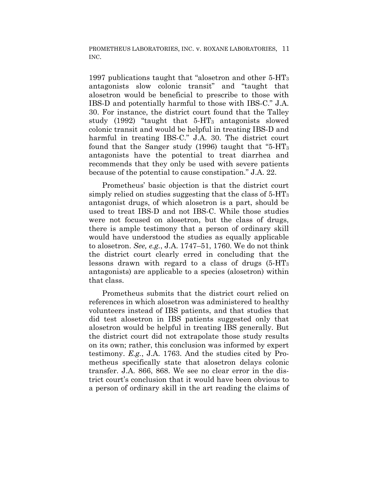1997 publications taught that "alosetron and other 5-HT3 antagonists slow colonic transit" and "taught that alosetron would be beneficial to prescribe to those with IBS-D and potentially harmful to those with IBS-C." J.A. 30. For instance, the district court found that the Talley study (1992) "taught that  $5-\text{HT}_3$  antagonists slowed colonic transit and would be helpful in treating IBS-D and harmful in treating IBS-C." J.A. 30. The district court found that the Sanger study (1996) taught that "5-HT<sub>3</sub> antagonists have the potential to treat diarrhea and recommends that they only be used with severe patients because of the potential to cause constipation." J.A. 22.

Prometheus' basic objection is that the district court simply relied on studies suggesting that the class of 5-HT3 antagonist drugs, of which alosetron is a part, should be used to treat IBS-D and not IBS-C. While those studies were not focused on alosetron, but the class of drugs, there is ample testimony that a person of ordinary skill would have understood the studies as equally applicable to alosetron. *See, e.g.*, J.A. 1747–51, 1760. We do not think the district court clearly erred in concluding that the lessons drawn with regard to a class of drugs  $(5-HT<sub>3</sub>)$ antagonists) are applicable to a species (alosetron) within that class.

Prometheus submits that the district court relied on references in which alosetron was administered to healthy volunteers instead of IBS patients, and that studies that did test alosetron in IBS patients suggested only that alosetron would be helpful in treating IBS generally. But the district court did not extrapolate those study results on its own; rather, this conclusion was informed by expert testimony. *E.g.*, J.A. 1763. And the studies cited by Prometheus specifically state that alosetron delays colonic transfer. J.A. 866, 868. We see no clear error in the district court's conclusion that it would have been obvious to a person of ordinary skill in the art reading the claims of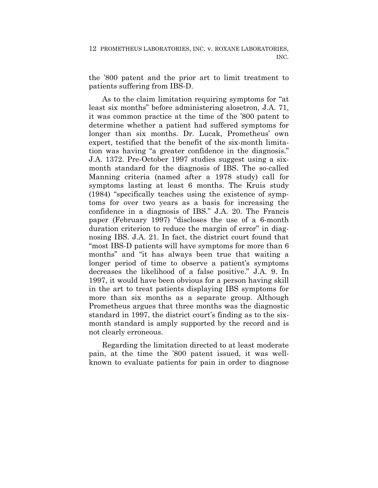the '800 patent and the prior art to limit treatment to patients suffering from IBS-D.

As to the claim limitation requiring symptoms for "at least six months" before administering alosetron, J.A. 71, it was common practice at the time of the '800 patent to determine whether a patient had suffered symptoms for longer than six months. Dr. Lucak, Prometheus' own expert, testified that the benefit of the six-month limitation was having "a greater confidence in the diagnosis." J.A. 1372. Pre-October 1997 studies suggest using a sixmonth standard for the diagnosis of IBS. The so-called Manning criteria (named after a 1978 study) call for symptoms lasting at least 6 months. The Kruis study (1984) "specifically teaches using the existence of symptoms for over two years as a basis for increasing the confidence in a diagnosis of IBS." J.A. 20. The Francis paper (February 1997) "discloses the use of a 6-month duration criterion to reduce the margin of error" in diagnosing IBS. J.A. 21. In fact, the district court found that "most IBS-D patients will have symptoms for more than 6 months" and "it has always been true that waiting a longer period of time to observe a patient's symptoms decreases the likelihood of a false positive." J.A. 9. In 1997, it would have been obvious for a person having skill in the art to treat patients displaying IBS symptoms for more than six months as a separate group. Although Prometheus argues that three months was the diagnostic standard in 1997, the district court's finding as to the sixmonth standard is amply supported by the record and is not clearly erroneous.

Regarding the limitation directed to at least moderate pain, at the time the '800 patent issued, it was wellknown to evaluate patients for pain in order to diagnose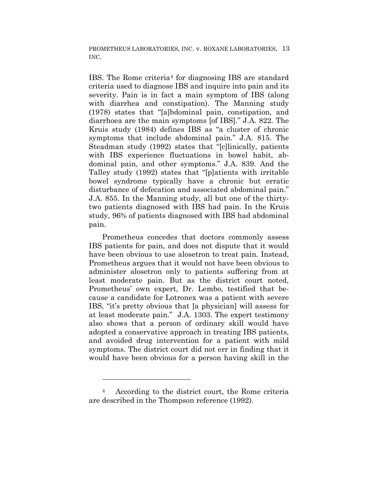IBS. The Rome criteria4 for diagnosing IBS are standard criteria used to diagnose IBS and inquire into pain and its severity. Pain is in fact a main symptom of IBS (along with diarrhea and constipation). The Manning study (1978) states that "[a]bdominal pain, constipation, and diarrhoea are the main symptoms [of IBS]." J.A. 822. The Kruis study (1984) defines IBS as "a cluster of chronic symptoms that include abdominal pain." J.A. 815. The Steadman study (1992) states that "[c]linically, patients with IBS experience fluctuations in bowel habit, abdominal pain, and other symptoms." J.A. 839. And the Talley study (1992) states that "[p]atients with irritable bowel syndrome typically have a chronic but erratic disturbance of defecation and associated abdominal pain." J.A. 855. In the Manning study, all but one of the thirtytwo patients diagnosed with IBS had pain. In the Kruis study, 96% of patients diagnosed with IBS had abdominal pain.

Prometheus concedes that doctors commonly assess IBS patients for pain, and does not dispute that it would have been obvious to use alosetron to treat pain. Instead, Prometheus argues that it would not have been obvious to administer alosetron only to patients suffering from at least moderate pain. But as the district court noted, Prometheus' own expert, Dr. Lembo, testified that because a candidate for Lotronex was a patient with severe IBS, "it's pretty obvious that [a physician] will assess for at least moderate pain." J.A. 1303. The expert testimony also shows that a person of ordinary skill would have adopted a conservative approach in treating IBS patients, and avoided drug intervention for a patient with mild symptoms. The district court did not err in finding that it would have been obvious for a person having skill in the

1

<sup>4</sup> According to the district court, the Rome criteria are described in the Thompson reference (1992).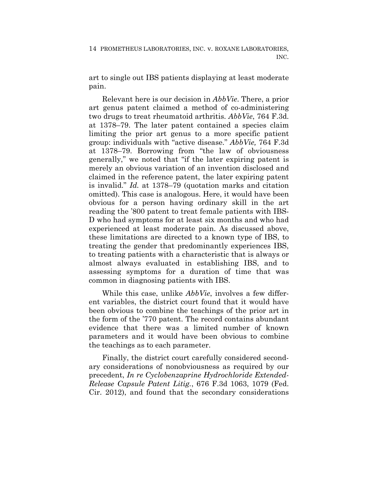art to single out IBS patients displaying at least moderate pain.

Relevant here is our decision in *AbbVie*. There, a prior art genus patent claimed a method of co-administering two drugs to treat rheumatoid arthritis. *AbbVie*, 764 F.3d. at 1378–79. The later patent contained a species claim limiting the prior art genus to a more specific patient group: individuals with "active disease." *AbbVie,* 764 F.3d at 1378–79. Borrowing from "the law of obviousness generally," we noted that "if the later expiring patent is merely an obvious variation of an invention disclosed and claimed in the reference patent, the later expiring patent is invalid." *Id.* at 1378–79 (quotation marks and citation omitted). This case is analogous. Here, it would have been obvious for a person having ordinary skill in the art reading the '800 patent to treat female patients with IBS-D who had symptoms for at least six months and who had experienced at least moderate pain. As discussed above, these limitations are directed to a known type of IBS, to treating the gender that predominantly experiences IBS, to treating patients with a characteristic that is always or almost always evaluated in establishing IBS, and to assessing symptoms for a duration of time that was common in diagnosing patients with IBS.

While this case, unlike *AbbVie*, involves a few different variables, the district court found that it would have been obvious to combine the teachings of the prior art in the form of the '770 patent. The record contains abundant evidence that there was a limited number of known parameters and it would have been obvious to combine the teachings as to each parameter.

Finally, the district court carefully considered secondary considerations of nonobviousness as required by our precedent, *In re Cyclobenzaprine Hydrochloride Extended-Release Capsule Patent Litig.*, 676 F.3d 1063, 1079 (Fed. Cir. 2012), and found that the secondary considerations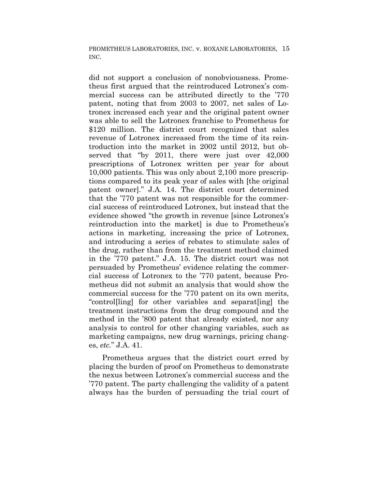did not support a conclusion of nonobviousness. Prometheus first argued that the reintroduced Lotronex's commercial success can be attributed directly to the '770 patent, noting that from 2003 to 2007, net sales of Lotronex increased each year and the original patent owner was able to sell the Lotronex franchise to Prometheus for \$120 million. The district court recognized that sales revenue of Lotronex increased from the time of its reintroduction into the market in 2002 until 2012, but observed that "by 2011, there were just over 42,000 prescriptions of Lotronex written per year for about 10,000 patients. This was only about 2,100 more prescriptions compared to its peak year of sales with [the original patent owner]." J.A. 14. The district court determined that the '770 patent was not responsible for the commercial success of reintroduced Lotronex, but instead that the evidence showed "the growth in revenue [since Lotronex's reintroduction into the market] is due to Prometheus's actions in marketing, increasing the price of Lotronex, and introducing a series of rebates to stimulate sales of the drug, rather than from the treatment method claimed in the '770 patent." J.A. 15. The district court was not persuaded by Prometheus' evidence relating the commercial success of Lotronex to the '770 patent, because Prometheus did not submit an analysis that would show the commercial success for the '770 patent on its own merits, "control[ling] for other variables and separat[ing] the treatment instructions from the drug compound and the method in the '800 patent that already existed, nor any analysis to control for other changing variables, such as marketing campaigns, new drug warnings, pricing changes, *etc.*" J.A. 41.

Prometheus argues that the district court erred by placing the burden of proof on Prometheus to demonstrate the nexus between Lotronex's commercial success and the '770 patent. The party challenging the validity of a patent always has the burden of persuading the trial court of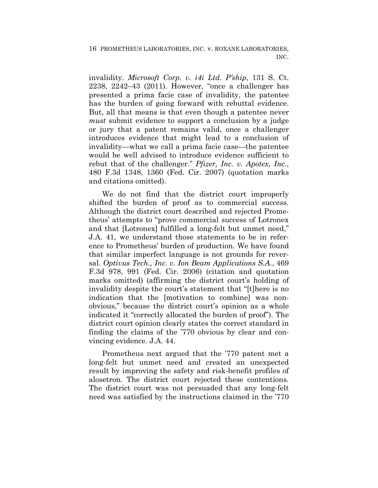invalidity. *Microsoft Corp. v. i4i Ltd. P'ship*, 131 S. Ct. 2238, 2242–43 (2011). However, "once a challenger has presented a prima facie case of invalidity, the patentee has the burden of going forward with rebuttal evidence. But, all that means is that even though a patentee never *must* submit evidence to support a conclusion by a judge or jury that a patent remains valid, once a challenger introduces evidence that might lead to a conclusion of invalidity—what we call a prima facie case—the patentee would be well advised to introduce evidence sufficient to rebut that of the challenger." *Pfizer, Inc. v. Apotex, Inc.*, 480 F.3d 1348, 1360 (Fed. Cir. 2007) (quotation marks and citations omitted).

We do not find that the district court improperly shifted the burden of proof as to commercial success. Although the district court described and rejected Prometheus' attempts to "prove commercial success of Lotronex and that [Lotronex] fulfilled a long-felt but unmet need," J.A. 41, we understand those statements to be in reference to Prometheus' burden of production. We have found that similar imperfect language is not grounds for reversal. *Optivus Tech., Inc. v. Ion Beam Applications S.A.*, 469 F.3d 978, 991 (Fed. Cir. 2006) (citation and quotation marks omitted) (affirming the district court's holding of invalidity despite the court's statement that "[t]here is no indication that the [motivation to combine] was nonobvious," because the district court's opinion as a whole indicated it "correctly allocated the burden of proof"). The district court opinion clearly states the correct standard in finding the claims of the '770 obvious by clear and convincing evidence. J.A. 44.

Prometheus next argued that the '770 patent met a long-felt but unmet need and created an unexpected result by improving the safety and risk-benefit profiles of alosetron. The district court rejected these contentions. The district court was not persuaded that any long-felt need was satisfied by the instructions claimed in the '770